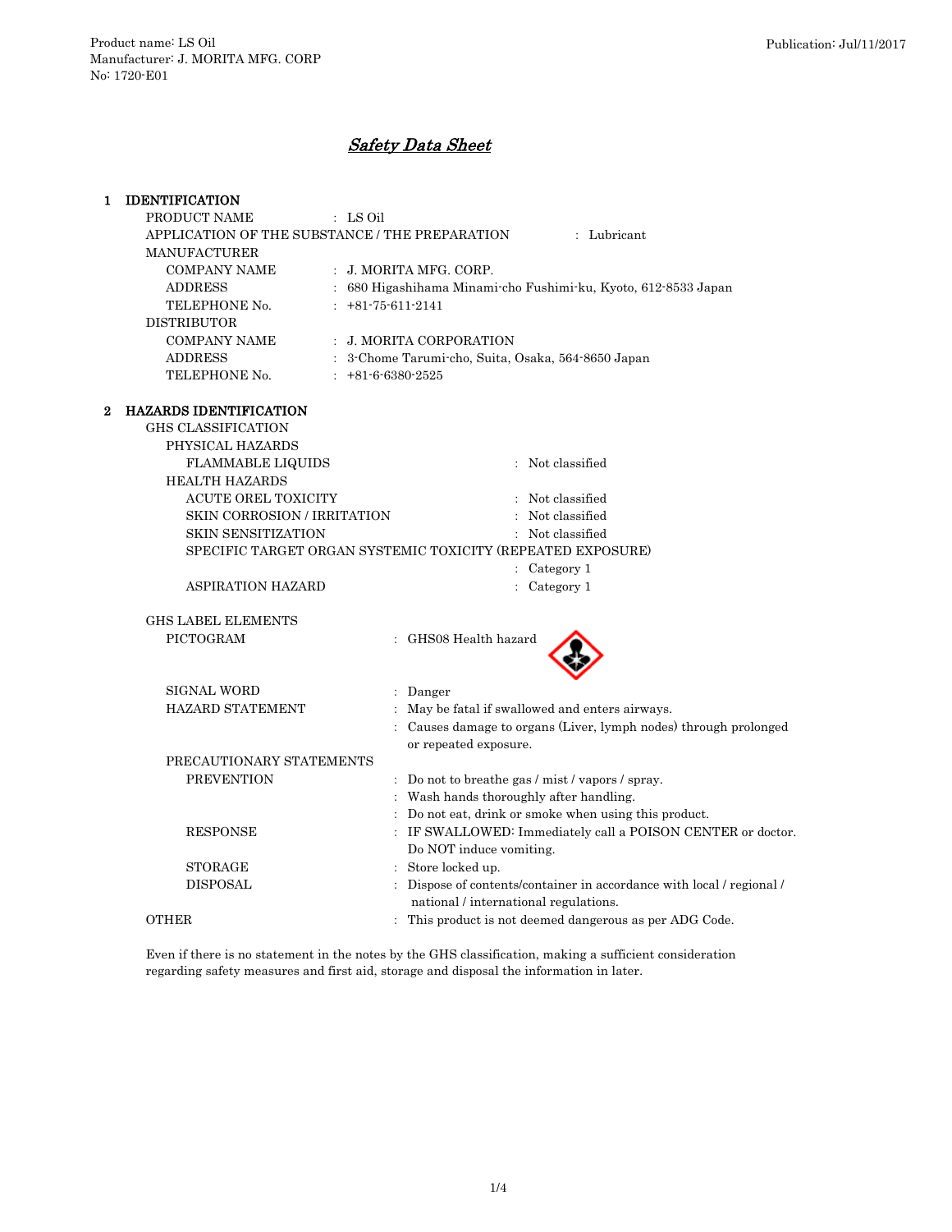# Safety Data Sheet

| 1 | <b>IDENTIFICATION</b>                                         |                                                                                         |  |  |  |  |
|---|---------------------------------------------------------------|-----------------------------------------------------------------------------------------|--|--|--|--|
|   | PRODUCT NAME                                                  | : LS Oil                                                                                |  |  |  |  |
|   | APPLICATION OF THE SUBSTANCE / THE PREPARATION<br>: Lubricant |                                                                                         |  |  |  |  |
|   | <b>MANUFACTURER</b>                                           |                                                                                         |  |  |  |  |
|   | <b>COMPANY NAME</b>                                           | : J. MORITA MFG. CORP.                                                                  |  |  |  |  |
|   | <b>ADDRESS</b>                                                | 680 Higashihama Minami-cho Fushimi-ku, Kyoto, 612-8533 Japan                            |  |  |  |  |
|   | TELEPHONE No.                                                 | $: +81-75-611-2141$                                                                     |  |  |  |  |
|   | <b>DISTRIBUTOR</b>                                            |                                                                                         |  |  |  |  |
|   | <b>COMPANY NAME</b>                                           | : J. MORITA CORPORATION                                                                 |  |  |  |  |
|   | <b>ADDRESS</b>                                                | : 3-Chome Tarumi-cho, Suita, Osaka, 564-8650 Japan                                      |  |  |  |  |
|   | TELEPHONE No.                                                 | $: +81 - 6 - 6380 - 2525$                                                               |  |  |  |  |
| 2 | <b>HAZARDS IDENTIFICATION</b>                                 |                                                                                         |  |  |  |  |
|   | <b>GHS CLASSIFICATION</b>                                     |                                                                                         |  |  |  |  |
|   | PHYSICAL HAZARDS                                              |                                                                                         |  |  |  |  |
|   | <b>FLAMMABLE LIQUIDS</b>                                      | : Not classified                                                                        |  |  |  |  |
|   | <b>HEALTH HAZARDS</b>                                         |                                                                                         |  |  |  |  |
|   | ACUTE OREL TOXICITY                                           | : Not classified                                                                        |  |  |  |  |
|   | SKIN CORROSION / IRRITATION                                   | : Not classified                                                                        |  |  |  |  |
|   | <b>SKIN SENSITIZATION</b>                                     | : Not classified                                                                        |  |  |  |  |
|   |                                                               | SPECIFIC TARGET ORGAN SYSTEMIC TOXICITY (REPEATED EXPOSURE)                             |  |  |  |  |
|   |                                                               | : Category 1                                                                            |  |  |  |  |
|   | <b>ASPIRATION HAZARD</b>                                      | Category 1                                                                              |  |  |  |  |
|   | <b>GHS LABEL ELEMENTS</b>                                     |                                                                                         |  |  |  |  |
|   | PICTOGRAM                                                     | : GHS08 Health hazard                                                                   |  |  |  |  |
|   |                                                               |                                                                                         |  |  |  |  |
|   | <b>SIGNAL WORD</b>                                            | : Danger                                                                                |  |  |  |  |
|   | HAZARD STATEMENT                                              | May be fatal if swallowed and enters airways.                                           |  |  |  |  |
|   |                                                               | Causes damage to organs (Liver, lymph nodes) through prolonged<br>or repeated exposure. |  |  |  |  |
|   | PRECAUTIONARY STATEMENTS                                      |                                                                                         |  |  |  |  |
|   | <b>PREVENTION</b>                                             | : Do not to breathe gas / mist / vapors / spray.                                        |  |  |  |  |
|   |                                                               | : Wash hands thoroughly after handling.                                                 |  |  |  |  |
|   |                                                               | Do not eat, drink or smoke when using this product.                                     |  |  |  |  |
|   | <b>RESPONSE</b>                                               | IF SWALLOWED: Immediately call a POISON CENTER or doctor.                               |  |  |  |  |
|   |                                                               | Do NOT induce vomiting.                                                                 |  |  |  |  |
|   | <b>STORAGE</b>                                                | Store locked up.                                                                        |  |  |  |  |
|   | <b>DISPOSAL</b>                                               | Dispose of contents/container in accordance with local / regional /                     |  |  |  |  |
|   |                                                               | national / international regulations.                                                   |  |  |  |  |
|   | <b>OTHER</b>                                                  | : This product is not deemed dangerous as per ADG Code.                                 |  |  |  |  |

Even if there is no statement in the notes by the GHS classification, making a sufficient consideration regarding safety measures and first aid, storage and disposal the information in later.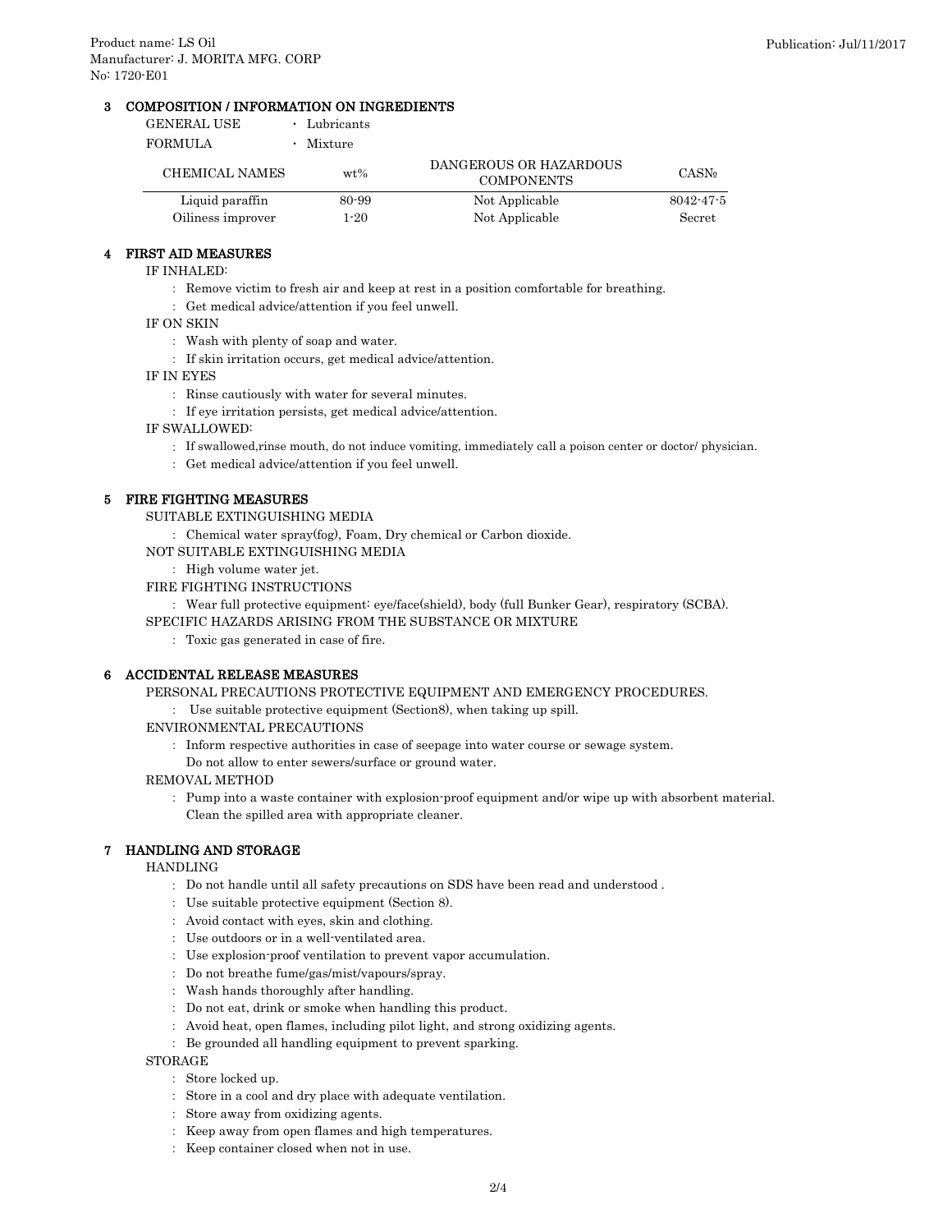# 3 COMPOSITION / INFORMATION ON INGREDIENTS

| GENERAL USE       | Lubricants |                                             |                          |
|-------------------|------------|---------------------------------------------|--------------------------|
| FORMULA           | Mixture    |                                             |                          |
| CHEMICAL NAMES    | $wt\%$     | DANGEROUS OR HAZARDOUS<br><b>COMPONENTS</b> | <b>CASN</b> <sup>o</sup> |
| Liquid paraffin   | 80-99      | Not Applicable                              | $8042 - 47 - 5$          |
| Oiliness improver | 1-20       | Not Applicable                              | Secret                   |

#### 4 FIRST AID MEASURES

- IF INHALED:
	- : Remove victim to fresh air and keep at rest in a position comfortable for breathing.
	- : Get medical advice/attention if you feel unwell.
- IF ON SKIN
	- : Wash with plenty of soap and water.
	- : If skin irritation occurs, get medical advice/attention.
- IF IN EYES
	- : Rinse cautiously with water for several minutes.
	- : If eye irritation persists, get medical advice/attention.
- IF SWALLOWED:
	- : If swallowed,rinse mouth, do not induce vomiting, immediately call a poison center or doctor/ physician.
	- : Get medical advice/attention if you feel unwell.

#### 5 FIRE FIGHTING MEASURES

- SUITABLE EXTINGUISHING MEDIA
- : Chemical water spray(fog), Foam, Dry chemical or Carbon dioxide.
- NOT SUITABLE EXTINGUISHING MEDIA
	- : High volume water jet.
- FIRE FIGHTING INSTRUCTIONS
	- : Wear full protective equipment: eye/face(shield), body (full Bunker Gear), respiratory (SCBA).
- SPECIFIC HAZARDS ARISING FROM THE SUBSTANCE OR MIXTURE
	- : Toxic gas generated in case of fire.

# 6 ACCIDENTAL RELEASE MEASURES

- PERSONAL PRECAUTIONS PROTECTIVE EQUIPMENT AND EMERGENCY PROCEDURES.
	- : Use suitable protective equipment (Section8), when taking up spill.
- ENVIRONMENTAL PRECAUTIONS
	- : Inform respective authorities in case of seepage into water course or sewage system.
	- Do not allow to enter sewers/surface or ground water.

# REMOVAL METHOD

: Pump into a waste container with explosion-proof equipment and/or wipe up with absorbent material. Clean the spilled area with appropriate cleaner.

#### 7 HANDLING AND STORAGE

HANDLING

- : Do not handle until all safety precautions on SDS have been read and understood .
- : Use suitable protective equipment (Section 8).
- : Avoid contact with eyes, skin and clothing.
- : Use outdoors or in a well-ventilated area.
- : Use explosion-proof ventilation to prevent vapor accumulation.
- : Do not breathe fume/gas/mist/vapours/spray.
- : Wash hands thoroughly after handling.
- : Do not eat, drink or smoke when handling this product.
- : Avoid heat, open flames, including pilot light, and strong oxidizing agents.
- : Be grounded all handling equipment to prevent sparking.

**STORAGE** 

- : Store locked up.
- : Store in a cool and dry place with adequate ventilation.
- : Store away from oxidizing agents.
- : Keep away from open flames and high temperatures.
- : Keep container closed when not in use.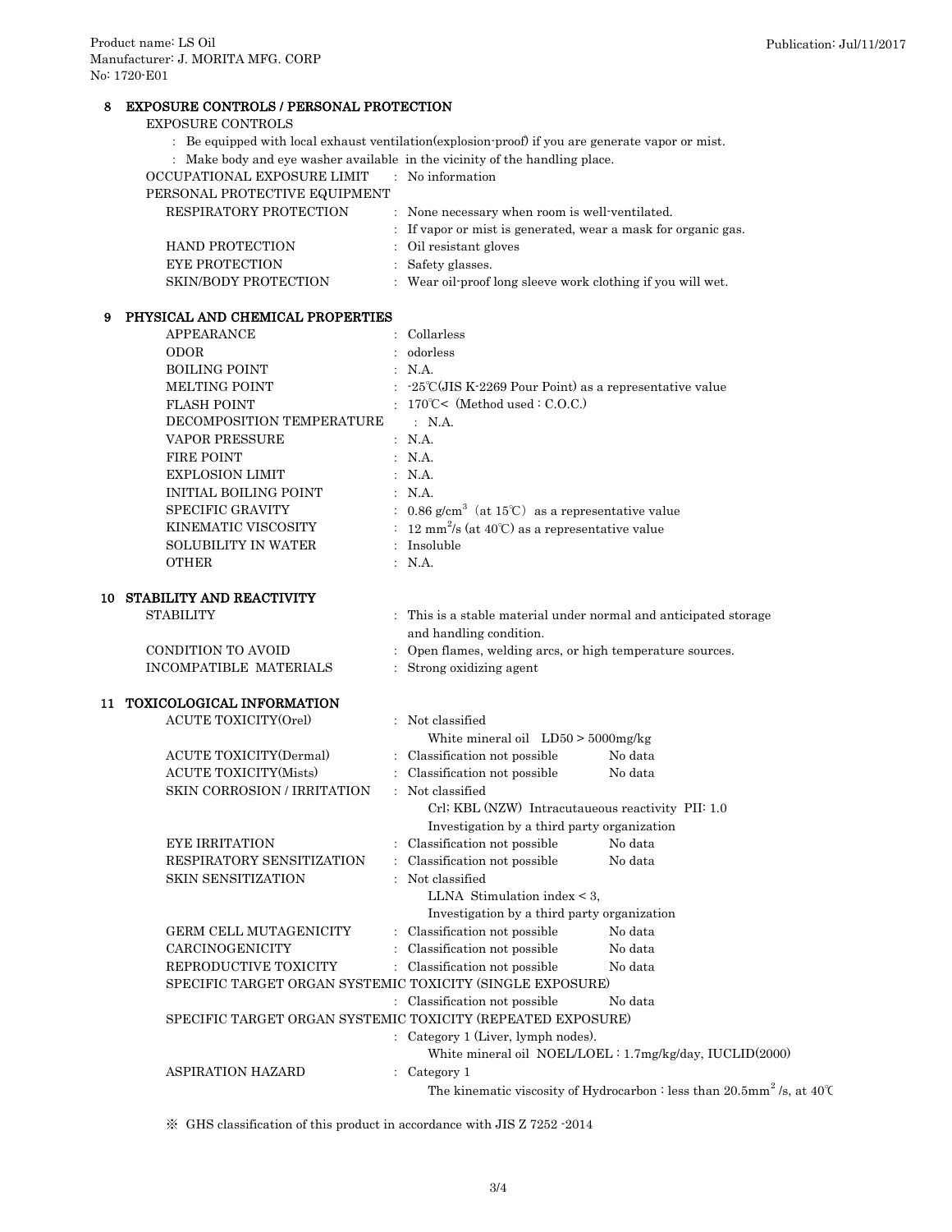# 8 EXPOSURE CONTROLS / PERSONAL PROTECTION

# EXPOSURE CONTROLS

- : Be equipped with local exhaust ventilation(explosion-proof) if you are generate vapor or mist.
- : Make body and eye washer available in the vicinity of the handling place.

OCCUPATIONAL EXPOSURE LIMIT : No information

| PERSONAL PROTECTIVE EQUIPMENT |                                                               |
|-------------------------------|---------------------------------------------------------------|
| <b>RESPIRATORY PROTECTION</b> | : None necessary when room is well-ventilated.                |
|                               | : If vapor or mist is generated, wear a mask for organic gas. |
| <b>HAND PROTECTION</b>        | : Oil resistant gloves                                        |
| <b>EYE PROTECTION</b>         | : Safety glasses.                                             |
| <b>SKIN/BODY PROTECTION</b>   | : Wear oil-proof long sleeve work clothing if you will wet.   |
|                               |                                                               |

# 9 PHYSICAL AND CHEMICAL PROPERTIES

|    | <b>APPEARANCE</b>                                           |  | : Collarless                                                          |                                                                                            |  |  |
|----|-------------------------------------------------------------|--|-----------------------------------------------------------------------|--------------------------------------------------------------------------------------------|--|--|
|    | <b>ODOR</b>                                                 |  | odorless                                                              |                                                                                            |  |  |
|    | <b>BOILING POINT</b>                                        |  | N.A.                                                                  |                                                                                            |  |  |
|    | MELTING POINT                                               |  | -25℃(JIS K-2269 Pour Point) as a representative value                 |                                                                                            |  |  |
|    | <b>FLASH POINT</b>                                          |  | $170^{\circ}$ C< (Method used: C.O.C.)                                |                                                                                            |  |  |
|    | DECOMPOSITION TEMPERATURE                                   |  | : N.A.                                                                |                                                                                            |  |  |
|    | <b>VAPOR PRESSURE</b>                                       |  | : N.A.                                                                |                                                                                            |  |  |
|    | FIRE POINT                                                  |  | : N.A.                                                                |                                                                                            |  |  |
|    | <b>EXPLOSION LIMIT</b>                                      |  | : N.A.                                                                |                                                                                            |  |  |
|    | <b>INITIAL BOILING POINT</b>                                |  | : N.A.                                                                |                                                                                            |  |  |
|    | SPECIFIC GRAVITY                                            |  | : 0.86 g/cm <sup>3</sup> (at 15°C) as a representative value          |                                                                                            |  |  |
|    | KINEMATIC VISCOSITY                                         |  | : 12 mm <sup>2</sup> /s (at 40°C) as a representative value           |                                                                                            |  |  |
|    | SOLUBILITY IN WATER                                         |  | : Insoluble                                                           |                                                                                            |  |  |
|    | <b>OTHER</b>                                                |  | : N.A.                                                                |                                                                                            |  |  |
| 10 | STABILITY AND REACTIVITY                                    |  |                                                                       |                                                                                            |  |  |
|    | <b>STABILITY</b>                                            |  |                                                                       | : This is a stable material under normal and anticipated storage                           |  |  |
|    |                                                             |  | and handling condition.                                               |                                                                                            |  |  |
|    | <b>CONDITION TO AVOID</b>                                   |  | : Open flames, welding arcs, or high temperature sources.             |                                                                                            |  |  |
|    | INCOMPATIBLE MATERIALS                                      |  | : Strong oxidizing agent                                              |                                                                                            |  |  |
|    | 11 TOXICOLOGICAL INFORMATION                                |  |                                                                       |                                                                                            |  |  |
|    | <b>ACUTE TOXICITY(Orel)</b>                                 |  | : Not classified                                                      |                                                                                            |  |  |
|    |                                                             |  | White mineral oil $LD50 > 5000$ mg/kg                                 |                                                                                            |  |  |
|    | <b>ACUTE TOXICITY(Dermal)</b>                               |  | : Classification not possible                                         | No data                                                                                    |  |  |
|    | <b>ACUTE TOXICITY(Mists)</b>                                |  | : Classification not possible                                         | No data                                                                                    |  |  |
|    | SKIN CORROSION / IRRITATION                                 |  | : Not classified<br>Crl; KBL (NZW) Intracutaueous reactivity PII: 1.0 |                                                                                            |  |  |
|    |                                                             |  | Investigation by a third party organization                           |                                                                                            |  |  |
|    | <b>EYE IRRITATION</b>                                       |  | : Classification not possible                                         | No data                                                                                    |  |  |
|    | RESPIRATORY SENSITIZATION                                   |  | : Classification not possible                                         | No data                                                                                    |  |  |
|    | <b>SKIN SENSITIZATION</b>                                   |  | : Not classified                                                      |                                                                                            |  |  |
|    |                                                             |  | LLNA Stimulation index $<$ 3,                                         |                                                                                            |  |  |
|    |                                                             |  | Investigation by a third party organization                           |                                                                                            |  |  |
|    | GERM CELL MUTAGENICITY                                      |  | : Classification not possible                                         | No data                                                                                    |  |  |
|    | CARCINOGENICITY                                             |  | Classification not possible                                           | No data                                                                                    |  |  |
|    | REPRODUCTIVE TOXICITY                                       |  | : Classification not possible                                         | No data                                                                                    |  |  |
|    | SPECIFIC TARGET ORGAN SYSTEMIC TOXICITY (SINGLE EXPOSURE)   |  |                                                                       |                                                                                            |  |  |
|    |                                                             |  | : Classification not possible                                         | No data                                                                                    |  |  |
|    | SPECIFIC TARGET ORGAN SYSTEMIC TOXICITY (REPEATED EXPOSURE) |  |                                                                       |                                                                                            |  |  |
|    |                                                             |  | : Category 1 (Liver, lymph nodes).                                    |                                                                                            |  |  |
|    |                                                             |  |                                                                       | White mineral oil NOEL/LOEL: 1.7mg/kg/day, IUCLID(2000)                                    |  |  |
|    | <b>ASPIRATION HAZARD</b>                                    |  | : Category 1                                                          |                                                                                            |  |  |
|    |                                                             |  |                                                                       | The kinematic viscosity of Hydrocarbon : less than 20.5mm <sup>2</sup> /s, at 40 $\degree$ |  |  |

※ GHS classification of this product in accordance with JIS Z 7252 -2014